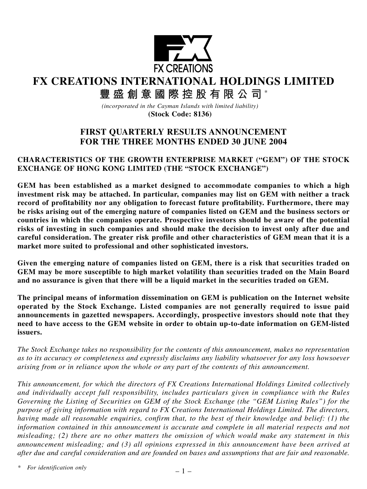

**FX CREATIONS INTERNATIONAL HOLDINGS LIMITED**

**豐盛創意國際控股有限公司** \*

*(incorporated in the Cayman Islands with limited liability)* **(Stock Code: 8136)**

# **FIRST QUARTERLY RESULTS ANNOUNCEMENT FOR THE THREE MONTHS ENDED 30 JUNE 2004**

# **CHARACTERISTICS OF THE GROWTH ENTERPRISE MARKET ("GEM") OF THE STOCK EXCHANGE OF HONG KONG LIMITED (THE "STOCK EXCHANGE")**

**GEM has been established as a market designed to accommodate companies to which a high investment risk may be attached. In particular, companies may list on GEM with neither a track record of profitability nor any obligation to forecast future profitability. Furthermore, there may be risks arising out of the emerging nature of companies listed on GEM and the business sectors or countries in which the companies operate. Prospective investors should be aware of the potential risks of investing in such companies and should make the decision to invest only after due and careful consideration. The greater risk profile and other characteristics of GEM mean that it is a market more suited to professional and other sophisticated investors.**

**Given the emerging nature of companies listed on GEM, there is a risk that securities traded on GEM may be more susceptible to high market volatility than securities traded on the Main Board and no assurance is given that there will be a liquid market in the securities traded on GEM.**

**The principal means of information dissemination on GEM is publication on the Internet website operated by the Stock Exchange. Listed companies are not generally required to issue paid announcements in gazetted newspapers. Accordingly, prospective investors should note that they need to have access to the GEM website in order to obtain up-to-date information on GEM-listed issuers.**

*The Stock Exchange takes no responsibility for the contents of this announcement, makes no representation as to its accuracy or completeness and expressly disclaims any liability whatsoever for any loss howsoever arising from or in reliance upon the whole or any part of the contents of this announcement.*

*This announcement, for which the directors of FX Creations International Holdings Limited collectively and individually accept full responsibility, includes particulars given in compliance with the Rules Governing the Listing of Securities on GEM of the Stock Exchange (the "GEM Listing Rules") for the purpose of giving information with regard to FX Creations International Holdings Limited. The directors, having made all reasonable enquiries, confirm that, to the best of their knowledge and belief: (1) the information contained in this announcement is accurate and complete in all material respects and not misleading; (2) there are no other matters the omission of which would make any statement in this announcement misleading; and (3) all opinions expressed in this announcement have been arrived at after due and careful consideration and are founded on bases and assumptions that are fair and reasonable.*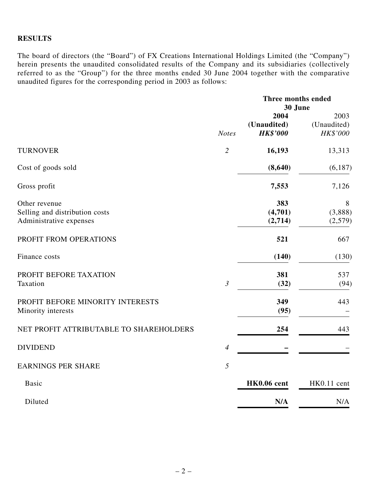# **RESULTS**

The board of directors (the "Board") of FX Creations International Holdings Limited (the "Company") herein presents the unaudited consolidated results of the Company and its subsidiaries (collectively referred to as the "Group") for the three months ended 30 June 2004 together with the comparative unaudited figures for the corresponding period in 2003 as follows:

|                                                                            |                | Three months ended<br>30 June          |                                 |
|----------------------------------------------------------------------------|----------------|----------------------------------------|---------------------------------|
|                                                                            | <b>Notes</b>   | 2004<br>(Unaudited)<br><b>HK\$'000</b> | 2003<br>(Unaudited)<br>HK\$'000 |
| <b>TURNOVER</b>                                                            | $\overline{2}$ | 16,193                                 | 13,313                          |
| Cost of goods sold                                                         |                | (8,640)                                | (6,187)                         |
| Gross profit                                                               |                | 7,553                                  | 7,126                           |
| Other revenue<br>Selling and distribution costs<br>Administrative expenses |                | 383<br>(4,701)<br>(2,714)              | 8<br>(3,888)<br>(2,579)         |
| PROFIT FROM OPERATIONS                                                     |                | 521                                    | 667                             |
| Finance costs                                                              |                | (140)                                  | (130)                           |
| PROFIT BEFORE TAXATION<br>Taxation                                         | $\mathfrak{Z}$ | 381<br>(32)                            | 537<br>(94)                     |
| PROFIT BEFORE MINORITY INTERESTS<br>Minority interests                     |                | 349<br>(95)                            | 443                             |
| NET PROFIT ATTRIBUTABLE TO SHAREHOLDERS                                    |                | 254                                    | 443                             |
| <b>DIVIDEND</b>                                                            | $\overline{4}$ |                                        |                                 |
| <b>EARNINGS PER SHARE</b>                                                  | 5              |                                        |                                 |
| <b>Basic</b>                                                               |                | HK0.06 cent                            | HK0.11 cent                     |
| Diluted                                                                    |                | N/A                                    | N/A                             |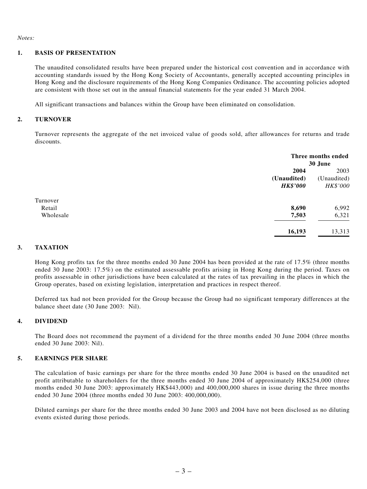*Notes:*

#### **1. BASIS OF PRESENTATION**

The unaudited consolidated results have been prepared under the historical cost convention and in accordance with accounting standards issued by the Hong Kong Society of Accountants, generally accepted accounting principles in Hong Kong and the disclosure requirements of the Hong Kong Companies Ordinance. The accounting policies adopted are consistent with those set out in the annual financial statements for the year ended 31 March 2004.

All significant transactions and balances within the Group have been eliminated on consolidation.

#### **2. TURNOVER**

Turnover represents the aggregate of the net invoiced value of goods sold, after allowances for returns and trade discounts.

|           |                 | Three months ended<br>30 June |  |
|-----------|-----------------|-------------------------------|--|
|           | 2004            | 2003                          |  |
|           | (Unaudited)     | (Unaudited)                   |  |
|           | <b>HK\$'000</b> | HK\$'000                      |  |
| Turnover  |                 |                               |  |
| Retail    | 8,690           | 6,992                         |  |
| Wholesale | 7,503           | 6,321                         |  |
|           | 16,193          | 13,313                        |  |

#### **3. TAXATION**

Hong Kong profits tax for the three months ended 30 June 2004 has been provided at the rate of 17.5% (three months ended 30 June 2003: 17.5%) on the estimated assessable profits arising in Hong Kong during the period. Taxes on profits assessable in other jurisdictions have been calculated at the rates of tax prevailing in the places in which the Group operates, based on existing legislation, interpretation and practices in respect thereof.

Deferred tax had not been provided for the Group because the Group had no significant temporary differences at the balance sheet date (30 June 2003: Nil).

#### **4. DIVIDEND**

The Board does not recommend the payment of a dividend for the three months ended 30 June 2004 (three months ended 30 June 2003: Nil).

#### **5. EARNINGS PER SHARE**

The calculation of basic earnings per share for the three months ended 30 June 2004 is based on the unaudited net profit attributable to shareholders for the three months ended 30 June 2004 of approximately HK\$254,000 (three months ended 30 June 2003: approximately HK\$443,000) and 400,000,000 shares in issue during the three months ended 30 June 2004 (three months ended 30 June 2003: 400,000,000).

Diluted earnings per share for the three months ended 30 June 2003 and 2004 have not been disclosed as no diluting events existed during those periods.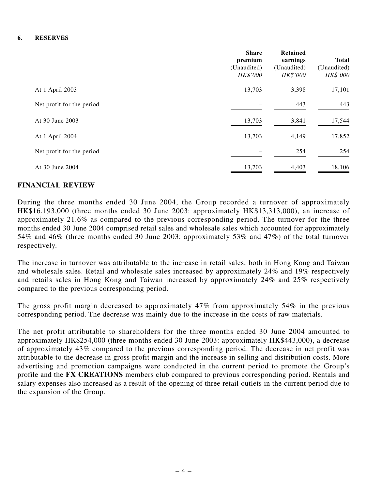#### **6. RESERVES**

|                           | <b>Share</b><br>premium<br>(Unaudited)<br>HK\$'000 | Retained<br>earnings<br>(Unaudited)<br><b>HK\$'000</b> | <b>Total</b><br>(Unaudited)<br>HK\$'000 |
|---------------------------|----------------------------------------------------|--------------------------------------------------------|-----------------------------------------|
| At 1 April 2003           | 13,703                                             | 3,398                                                  | 17,101                                  |
| Net profit for the period |                                                    | 443                                                    | 443                                     |
| At 30 June 2003           | 13,703                                             | 3,841                                                  | 17,544                                  |
| At 1 April 2004           | 13,703                                             | 4,149                                                  | 17,852                                  |
| Net profit for the period |                                                    | 254                                                    | 254                                     |
| At 30 June 2004           | 13,703                                             | 4,403                                                  | 18,106                                  |

# **FINANCIAL REVIEW**

During the three months ended 30 June 2004, the Group recorded a turnover of approximately HK\$16,193,000 (three months ended 30 June 2003: approximately HK\$13,313,000), an increase of approximately 21.6% as compared to the previous corresponding period. The turnover for the three months ended 30 June 2004 comprised retail sales and wholesale sales which accounted for approximately 54% and 46% (three months ended 30 June 2003: approximately 53% and 47%) of the total turnover respectively.

The increase in turnover was attributable to the increase in retail sales, both in Hong Kong and Taiwan and wholesale sales. Retail and wholesale sales increased by approximately 24% and 19% respectively and retails sales in Hong Kong and Taiwan increased by approximately 24% and 25% respectively compared to the previous corresponding period.

The gross profit margin decreased to approximately 47% from approximately 54% in the previous corresponding period. The decrease was mainly due to the increase in the costs of raw materials.

The net profit attributable to shareholders for the three months ended 30 June 2004 amounted to approximately HK\$254,000 (three months ended 30 June 2003: approximately HK\$443,000), a decrease of approximately 43% compared to the previous corresponding period. The decrease in net profit was attributable to the decrease in gross profit margin and the increase in selling and distribution costs. More advertising and promotion campaigns were conducted in the current period to promote the Group's profile and the **FX CREATIONS** members club compared to previous corresponding period. Rentals and salary expenses also increased as a result of the opening of three retail outlets in the current period due to the expansion of the Group.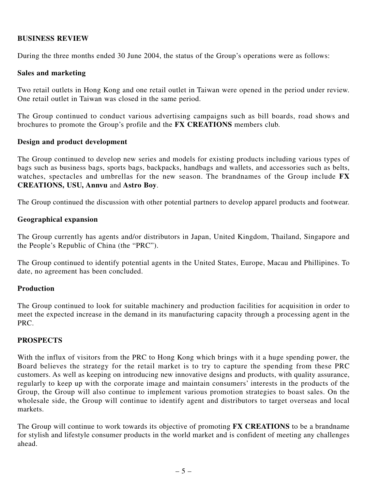# **BUSINESS REVIEW**

During the three months ended 30 June 2004, the status of the Group's operations were as follows:

### **Sales and marketing**

Two retail outlets in Hong Kong and one retail outlet in Taiwan were opened in the period under review. One retail outlet in Taiwan was closed in the same period.

The Group continued to conduct various advertising campaigns such as bill boards, road shows and brochures to promote the Group's profile and the **FX CREATIONS** members club.

### **Design and product development**

The Group continued to develop new series and models for existing products including various types of bags such as business bags, sports bags, backpacks, handbags and wallets, and accessories such as belts, watches, spectacles and umbrellas for the new season. The brandnames of the Group include **FX CREATIONS, USU, Annvu** and **Astro Boy**.

The Group continued the discussion with other potential partners to develop apparel products and footwear.

### **Geographical expansion**

The Group currently has agents and/or distributors in Japan, United Kingdom, Thailand, Singapore and the People's Republic of China (the "PRC").

The Group continued to identify potential agents in the United States, Europe, Macau and Phillipines. To date, no agreement has been concluded.

### **Production**

The Group continued to look for suitable machinery and production facilities for acquisition in order to meet the expected increase in the demand in its manufacturing capacity through a processing agent in the PRC.

# **PROSPECTS**

With the influx of visitors from the PRC to Hong Kong which brings with it a huge spending power, the Board believes the strategy for the retail market is to try to capture the spending from these PRC customers. As well as keeping on introducing new innovative designs and products, with quality assurance, regularly to keep up with the corporate image and maintain consumers' interests in the products of the Group, the Group will also continue to implement various promotion strategies to boast sales. On the wholesale side, the Group will continue to identify agent and distributors to target overseas and local markets.

The Group will continue to work towards its objective of promoting **FX CREATIONS** to be a brandname for stylish and lifestyle consumer products in the world market and is confident of meeting any challenges ahead.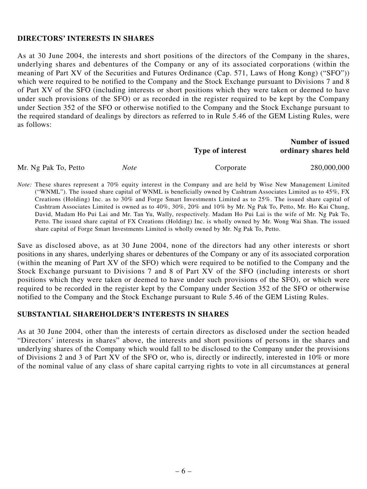### **DIRECTORS' INTERESTS IN SHARES**

As at 30 June 2004, the interests and short positions of the directors of the Company in the shares, underlying shares and debentures of the Company or any of its associated corporations (within the meaning of Part XV of the Securities and Futures Ordinance (Cap. 571, Laws of Hong Kong) ("SFO")) which were required to be notified to the Company and the Stock Exchange pursuant to Divisions 7 and 8 of Part XV of the SFO (including interests or short positions which they were taken or deemed to have under such provisions of the SFO) or as recorded in the register required to be kept by the Company under Section 352 of the SFO or otherwise notified to the Company and the Stock Exchange pursuant to the required standard of dealings by directors as referred to in Rule 5.46 of the GEM Listing Rules, were as follows:

|                      |      | Type of interest | <b>Number of issued</b><br>ordinary shares held |
|----------------------|------|------------------|-------------------------------------------------|
| Mr. Ng Pak To, Petto | Note | Corporate        | 280,000,000                                     |

*Note:* These shares represent a 70% equity interest in the Company and are held by Wise New Management Limited ("WNML"). The issued share capital of WNML is beneficially owned by Cashtram Associates Limited as to 45%, FX Creations (Holding) Inc. as to 30% and Forge Smart Investments Limited as to 25%. The issued share capital of Cashtram Associates Limited is owned as to 40%, 30%, 20% and 10% by Mr. Ng Pak To, Petto, Mr. Ho Kai Chung, David, Madam Ho Pui Lai and Mr. Tan Yu, Wally, respectively. Madam Ho Pui Lai is the wife of Mr. Ng Pak To, Petto. The issued share capital of FX Creations (Holding) Inc. is wholly owned by Mr. Wong Wai Shan. The issued share capital of Forge Smart Investments Limited is wholly owned by Mr. Ng Pak To, Petto.

Save as disclosed above, as at 30 June 2004, none of the directors had any other interests or short positions in any shares, underlying shares or debentures of the Company or any of its associated corporation (within the meaning of Part XV of the SFO) which were required to be notified to the Company and the Stock Exchange pursuant to Divisions 7 and 8 of Part XV of the SFO (including interests or short positions which they were taken or deemed to have under such provisions of the SFO), or which were required to be recorded in the register kept by the Company under Section 352 of the SFO or otherwise notified to the Company and the Stock Exchange pursuant to Rule 5.46 of the GEM Listing Rules.

#### **SUBSTANTIAL SHAREHOLDER'S INTERESTS IN SHARES**

As at 30 June 2004, other than the interests of certain directors as disclosed under the section headed "Directors' interests in shares" above, the interests and short positions of persons in the shares and underlying shares of the Company which would fall to be disclosed to the Company under the provisions of Divisions 2 and 3 of Part XV of the SFO or, who is, directly or indirectly, interested in 10% or more of the nominal value of any class of share capital carrying rights to vote in all circumstances at general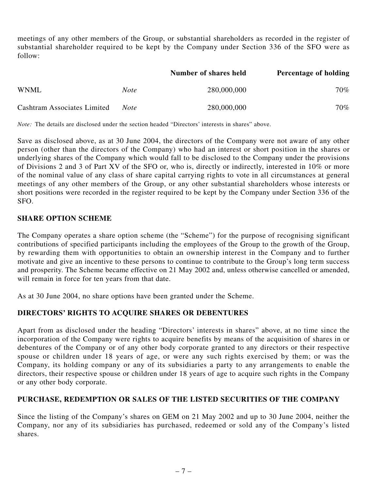meetings of any other members of the Group, or substantial shareholders as recorded in the register of substantial shareholder required to be kept by the Company under Section 336 of the SFO were as follow:

|                                    |             | Number of shares held | <b>Percentage of holding</b> |
|------------------------------------|-------------|-----------------------|------------------------------|
| <b>WNML</b>                        | <i>Note</i> | 280,000,000           | 70%                          |
| <b>Cashtram Associates Limited</b> | Note        | 280,000,000           | 70%                          |

*Note:* The details are disclosed under the section headed "Directors' interests in shares" above.

Save as disclosed above, as at 30 June 2004, the directors of the Company were not aware of any other person (other than the directors of the Company) who had an interest or short position in the shares or underlying shares of the Company which would fall to be disclosed to the Company under the provisions of Divisions 2 and 3 of Part XV of the SFO or, who is, directly or indirectly, interested in 10% or more of the nominal value of any class of share capital carrying rights to vote in all circumstances at general meetings of any other members of the Group, or any other substantial shareholders whose interests or short positions were recorded in the register required to be kept by the Company under Section 336 of the SFO.

# **SHARE OPTION SCHEME**

The Company operates a share option scheme (the "Scheme") for the purpose of recognising significant contributions of specified participants including the employees of the Group to the growth of the Group, by rewarding them with opportunities to obtain an ownership interest in the Company and to further motivate and give an incentive to these persons to continue to contribute to the Group's long term success and prosperity. The Scheme became effective on 21 May 2002 and, unless otherwise cancelled or amended, will remain in force for ten years from that date.

As at 30 June 2004, no share options have been granted under the Scheme.

# **DIRECTORS' RIGHTS TO ACQUIRE SHARES OR DEBENTURES**

Apart from as disclosed under the heading "Directors' interests in shares" above, at no time since the incorporation of the Company were rights to acquire benefits by means of the acquisition of shares in or debentures of the Company or of any other body corporate granted to any directors or their respective spouse or children under 18 years of age, or were any such rights exercised by them; or was the Company, its holding company or any of its subsidiaries a party to any arrangements to enable the directors, their respective spouse or children under 18 years of age to acquire such rights in the Company or any other body corporate.

# **PURCHASE, REDEMPTION OR SALES OF THE LISTED SECURITIES OF THE COMPANY**

Since the listing of the Company's shares on GEM on 21 May 2002 and up to 30 June 2004, neither the Company, nor any of its subsidiaries has purchased, redeemed or sold any of the Company's listed shares.